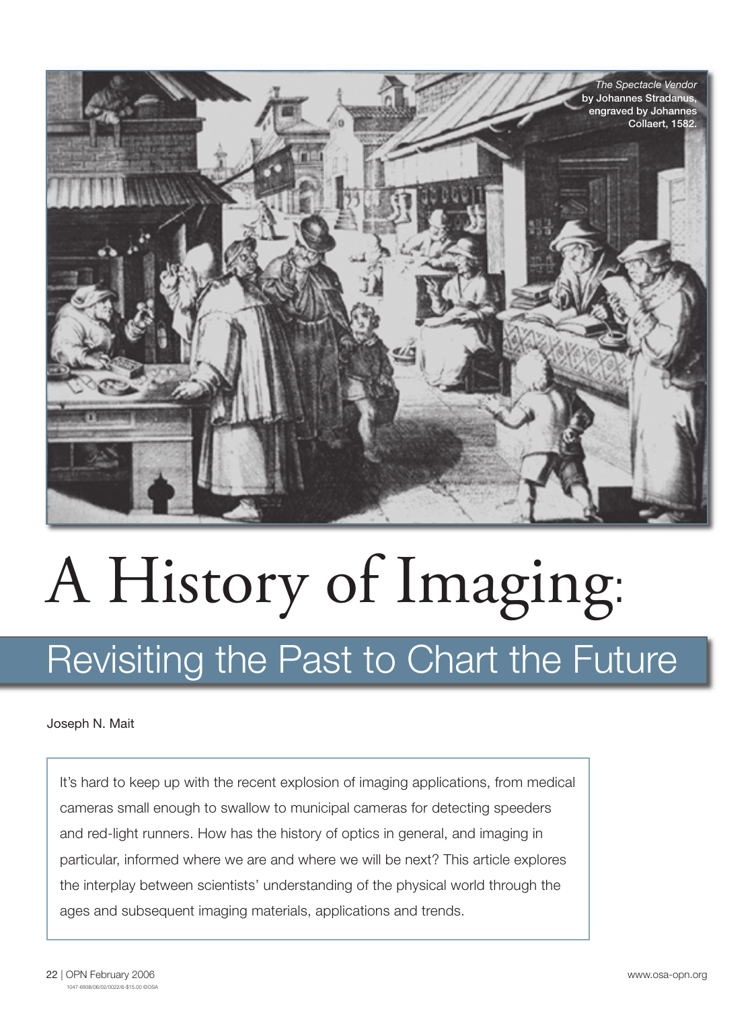

# A History of Imaging: Revisiting the Past to Chart the Future

#### Joseph N. Mait

It's hard to keep up with the recent explosion of imaging applications, from medical cameras small enough to swallow to municipal cameras for detecting speeders and red-light runners. How has the history of optics in general, and imaging in particular, informed where we are and where we will be next? This article explores the interplay between scientists' understanding of the physical world through the ages and subsequent imaging materials, applications and trends.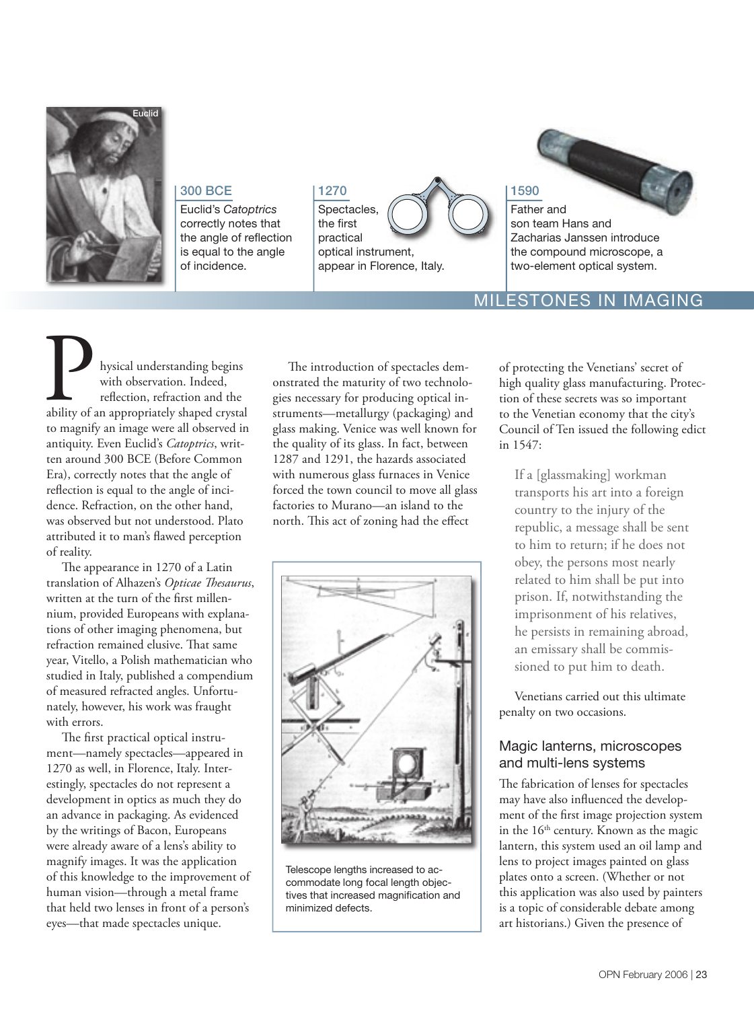

#### 300 BCE

Euclid's *Catoptrics* correctly notes that the angle of reflection is equal to the angle of incidence.

#### 1270

Spectacles, the first practical optical instrument, appear in Florence, Italy.



son team Hans and Zacharias Janssen introduce the compound microscope, a two-element optical system.

### MILESTONES IN IMAGING

hysical understanding begins with observation. Indeed, reflection, refraction and the hysical understanding begins<br>
with observation. Indeed,<br>
reflection, refraction and the<br>
ability of an appropriately shaped crystal to magnify an image were all observed in antiquity. Even Euclid's *Catoptrics*, written around 300 BCE (Before Common Era), correctly notes that the angle of reflection is equal to the angle of incidence. Refraction, on the other hand, was observed but not understood. Plato attributed it to man's flawed perception of reality.

The appearance in 1270 of a Latin translation of Alhazen's *Opticae Thesaurus*, written at the turn of the first millennium, provided Europeans with explanations of other imaging phenomena, but refraction remained elusive. That same year, Vitello, a Polish mathematician who studied in Italy, published a compendium of measured refracted angles. Unfortunately, however, his work was fraught with errors.

The first practical optical instrument—namely spectacles—appeared in 1270 as well, in Florence, Italy. Interestingly, spectacles do not represent a development in optics as much they do an advance in packaging. As evidenced by the writings of Bacon, Europeans were already aware of a lens's ability to magnify images. It was the application of this knowledge to the improvement of human vision—through a metal frame that held two lenses in front of a person's eyes—that made spectacles unique.

The introduction of spectacles demonstrated the maturity of two technologies necessary for producing optical instruments—metallurgy (packaging) and <sup>g</sup>lass making. Venice was well known for the quality of its glass. In fact, between 1287 and 1291, the hazards associated with numerous glass furnaces in Venice forced the town council to move all glass factories to Murano—an island to the north. This act of zoning had the effect



Telescope lengths increased to accommodate long focal length objectives that increased magnification and minimized defects.

of protecting the Venetians' secret of high quality glass manufacturing. Protection of these secrets was so important to the Venetian economy that the city's Council of Ten issued the following edict in 1547:

If a [glassmaking] workman transports his art into a foreign country to the injury of the republic, a message shall be sent to him to return; if he does not obey, the persons most nearly related to him shall be put into prison. If, notwithstanding the imprisonment of his relatives, he persists in remaining abroad, an emissary shall be commissioned to put him to death.

Venetians carried out this ultimate penalty on two occasions.

#### Magic lanterns, microscopes and multi-lens systems

The fabrication of lenses for spectacles may have also influenced the development of the first image projection system in the  $16<sup>th</sup>$  century. Known as the magic lantern, this system used an oil lamp and lens to project images painted on glass plates onto a screen. (Whether or not this application was also used by painters is a topic of considerable debate among art historians.) Given the presence of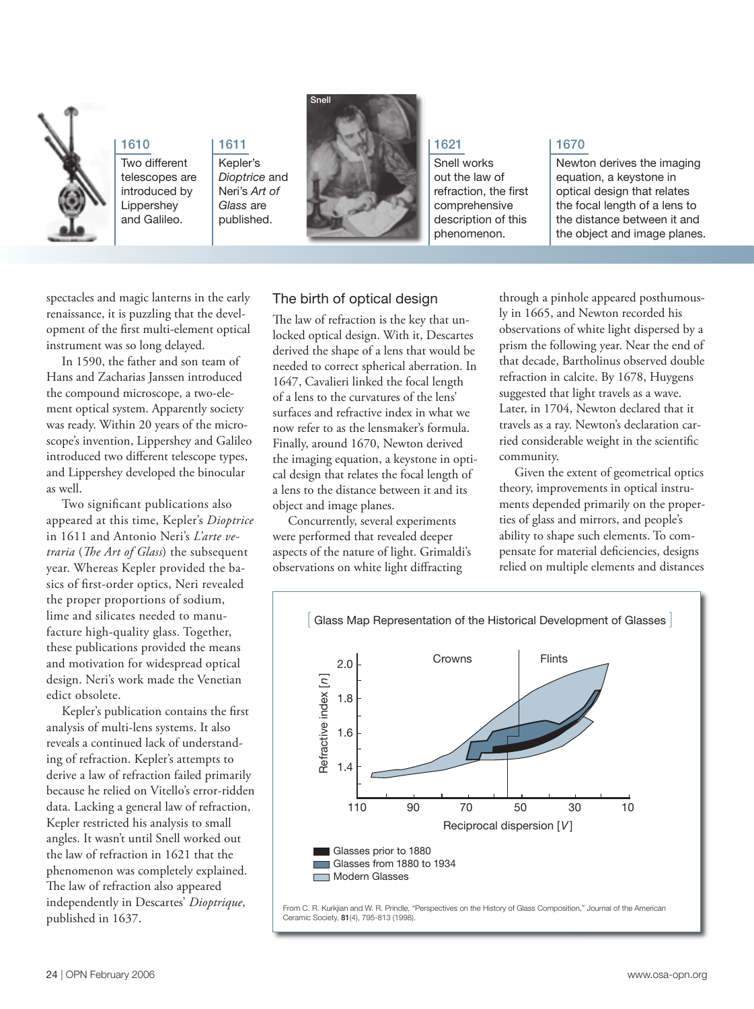

1610 Two different telescopes are introduced by **Lippershev** and Galileo. 1611 Kepler's *Dioptrice* and Neri's *Art of Glass* are published.



1621

Snell works out the law of refraction, the first comprehensive description of this phenomenon.

#### 1670

Newton derives the imaging equation, a keystone in optical design that relates the focal length of a lens to the distance between it and the object and image planes.

spectacles and magic lanterns in the early renaissance, it is puzzling that the development of the first multi-element optical instrument was so long delayed.

In 1590, the father and son team of Hans and Zacharias Janssen introduced the compound microscope, a two-element optical system. Apparently society was ready. Within 20 years of the microscope's invention, Lippershey and Galileo introduced two different telescope types, and Lippershey developed the binocular as well.

Two significant publications also appeared at this time, Kepler's *Dioptrice* in 1611 and Antonio Neri's *L'arte vetraria* (*The Art of Glass*) the subsequent year. Whereas Kepler provided the basics of first-order optics, Neri revealed the proper proportions of sodium, lime and silicates needed to manufacture high-quality glass. Together, these publications provided the means and motivation for widespread optical design. Neri's work made the Venetian edict obsolete.

Kepler's publication contains the first analysis of multi-lens systems. It also reveals a continued lack of understanding of refraction. Kepler's attempts to derive a law of refraction failed primarily because he relied on Vitello's error-ridden data. Lacking a general law of refraction, Kepler restricted his analysis to small angles. It wasn't until Snell worked out the law of refraction in 1621 that the phenomenon was completely explained. The law of refraction also appeared independently in Descartes' *Dioptrique*, published in 1637.

#### The birth of optical design

The law of refraction is the key that unlocked optical design. With it, Descartes derived the shape of a lens that would be needed to correct spherical aberration. In 1647, Cavalieri linked the focal length of a lens to the curvatures of the lens' surfaces and refractive index in what we now refer to as the lensmaker's formula. Finally, around 1670, Newton derived the imaging equation, a keystone in optical design that relates the focal length of a lens to the distance between it and its object and image planes.

Concurrently, several experiments were performed that revealed deeper aspects of the nature of light. Grimaldi's observations on white light diffracting

through a pinhole appeared posthumously in 1665, and Newton recorded his observations of white light dispersed by a prism the following year. Near the end of that decade, Bartholinus observed double refraction in calcite. By 1678, Huygens suggested that light travels as a wave. Later, in 1704, Newton declared that it travels as a ray. Newton's declaration carried considerable weight in the scientific community.

Given the extent of geometrical optics theory, improvements in optical instruments depended primarily on the properties of glass and mirrors, and people's ability to shape such elements. To compensate for material deficiencies, designs relied on multiple elements and distances



From C. R. Kurkjian and W. R. Prindle, "Perspectives on the History of Glass Composition," Journal of the American Ceramic Society, 81(4), 795-813 (1998).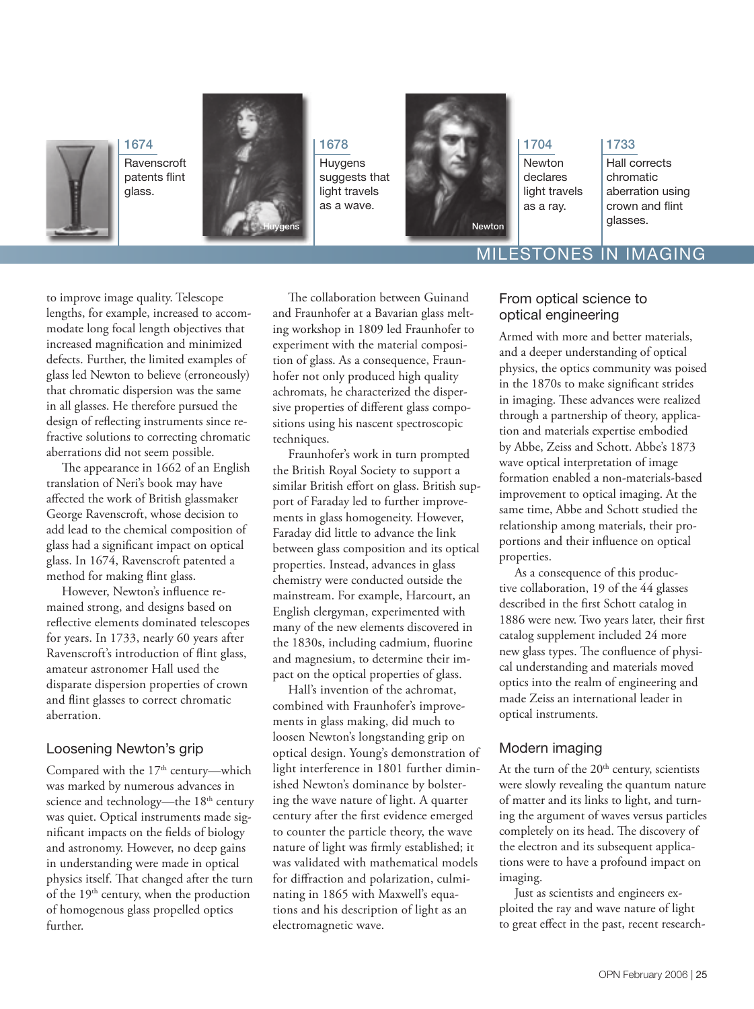

1674 **Ravenscroft** patents flint glass.



1678 **Huygens** suggests that

light travels as a wave.



#### 1704

Newton declares light travels as a ray.

1733 Hall corrects chromatic aberration using crown and flint

## MILESTONES IN IMAGING

to improve image quality. Telescope lengths, for example, increased to accommodate long focal length objectives that increased magnification and minimized defects. Further, the limited examples of glass led Newton to believe (erroneously) that chromatic dispersion was the same in all glasses. He therefore pursued the design of reflecting instruments since refractive solutions to correcting chromatic aberrations did not seem possible.

The appearance in 1662 of an English translation of Neri's book may have affected the work of British glassmaker George Ravenscroft, whose decision to add lead to the chemical composition of glass had a significant impact on optical glass. In 1674, Ravenscroft patented a method for making flint glass.

However, Newton's influence remained strong, and designs based on reflective elements dominated telescopes for years. In 1733, nearly 60 years after Ravenscroft's introduction of flint glass, amateur astronomer Hall used the disparate dispersion properties of crown and flint glasses to correct chromatic aberration.

#### Loosening Newton's grip

Compared with the  $17<sup>th</sup>$  century—which was marked by numerous advances in science and technology—the 18<sup>th</sup> century was quiet. Optical instruments made significant impacts on the fields of biology and astronomy. However, no deep gains in understanding were made in optical physics itself. That changed after the turn of the  $19<sup>th</sup>$  century, when the production of homogenous glass propelled optics further.

The collaboration between Guinand and Fraunhofer at a Bavarian glass melting workshop in 1809 led Fraunhofer to experiment with the material composition of glass. As a consequence, Fraunhofer not only produced high quality achromats, he characterized the dispersive properties of different glass compositions using his nascent spectroscopic techniques.

Fraunhofer's work in turn prompted the British Royal Society to support a similar British effort on glass. British support of Faraday led to further improvements in glass homogeneity. However, Faraday did little to advance the link between glass composition and its optical properties. Instead, advances in glass chemistry were conducted outside the mainstream. For example, Harcourt, an English clergyman, experimented with many of the new elements discovered in the 1830s, including cadmium, fluorine and magnesium, to determine their impact on the optical properties of glass.

Hall's invention of the achromat, combined with Fraunhofer's improvements in glass making, did much to loosen Newton's longstanding grip on optical design. Young's demonstration of light interference in 1801 further diminished Newton's dominance by bolstering the wave nature of light. A quarter century after the first evidence emerged to counter the particle theory, the wave nature of light was firmly established; it was validated with mathematical models for diffraction and polarization, culminating in 1865 with Maxwell's equations and his description of light as an electromagnetic wave.

#### From optical science to optical engineering

Armed with more and better materials, and a deeper understanding of optical physics, the optics community was poised in the 1870s to make significant strides in imaging. These advances were realized through a partnership of theory, application and materials expertise embodied by Abbe, Zeiss and Schott. Abbe's 1873 wave optical interpretation of image formation enabled a non-materials-based improvement to optical imaging. At the same time, Abbe and Schott studied the relationship among materials, their proportions and their influence on optical properties.

As a consequence of this productive collaboration, 19 of the 44 glasses described in the first Schott catalog in 1886 were new. Two years later, their first catalog supplement included 24 more new glass types. The confluence of physical understanding and materials moved optics into the realm of engineering and made Zeiss an international leader in optical instruments.

#### Modern imaging

At the turn of the 20<sup>th</sup> century, scientists were slowly revealing the quantum nature of matter and its links to light, and turning the argument of waves versus particles completely on its head. The discovery of the electron and its subsequent applications were to have a profound impact on imaging.

Just as scientists and engineers exploited the ray and wave nature of light to great effect in the past, recent research-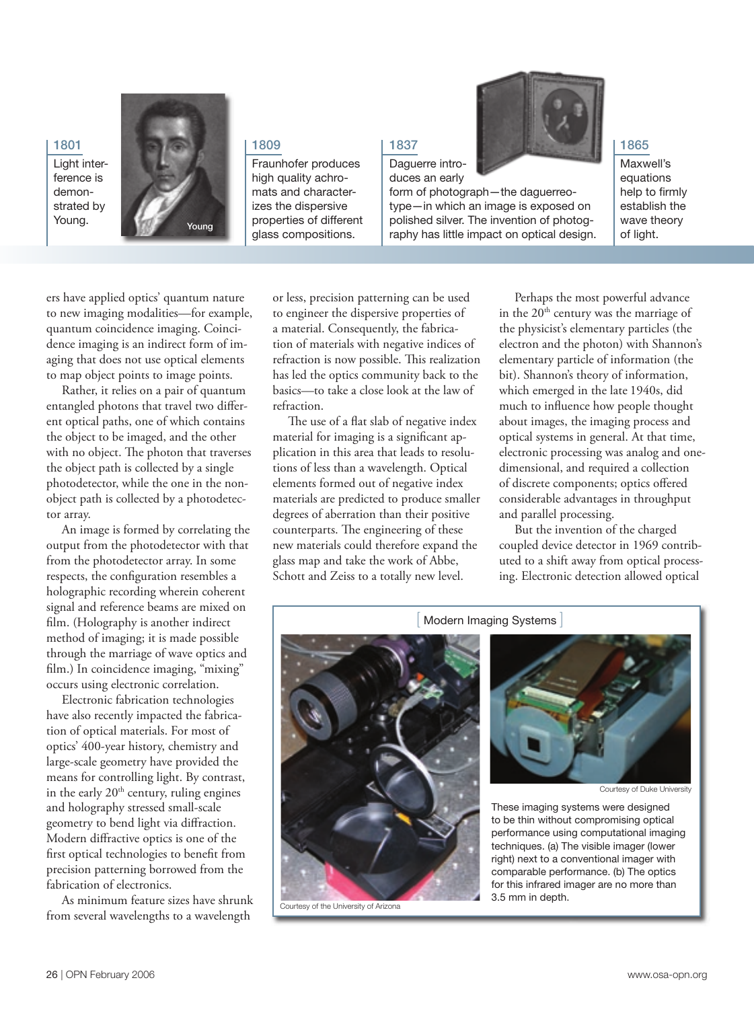### 1801

Light interference is demonstrated by Young.



#### 1809

Fraunhofer produces high quality achromats and characterizes the dispersive properties of different glass compositions.



Daguerre introduces an early form of photograph—the daguerreotype—in which an image is exposed on polished silver. The invention of photography has little impact on optical design. 1865

Maxwell's equations help to firmly establish the wave theory of light.

ers have applied optics' quantum nature to new imaging modalities—for example, quantum coincidence imaging. Coincidence imaging is an indirect form of imaging that does not use optical elements to map object points to image points.

Rather, it relies on a pair of quantum entangled photons that travel two different optical paths, one of which contains the object to be imaged, and the other with no object. The photon that traverses the object path is collected by a single photodetector, while the one in the nonobject path is collected by a photodetector array.

An image is formed by correlating the output from the photodetector with that from the photodetector array. In some respects, the configuration resembles a holographic recording wherein coherent signal and reference beams are mixed on film. (Holography is another indirect method of imaging; it is made possible through the marriage of wave optics and film.) In coincidence imaging, "mixing" occurs using electronic correlation.

Electronic fabrication technologies have also recently impacted the fabrication of optical materials. For most of optics' 400-year history, chemistry and large-scale geometry have provided the means for controlling light. By contrast, in the early  $20<sup>th</sup>$  century, ruling engines and holography stressed small-scale geometry to bend light via diffraction. Modern diffractive optics is one of the first optical technologies to benefit from precision patterning borrowed from the fabrication of electronics.

As minimum feature sizes have shrunk from several wavelengths to a wavelength

or less, precision patterning can be used to engineer the dispersive properties of a material. Consequently, the fabrication of materials with negative indices of refraction is now possible. This realization has led the optics community back to the basics—to take a close look at the law of refraction.

1837

The use of a flat slab of negative index material for imaging is a significant application in this area that leads to resolutions of less than a wavelength. Optical elements formed out of negative index materials are predicted to produce smaller degrees of aberration than their positive counterparts. The engineering of these new materials could therefore expand the glass map and take the work of Abbe, Schott and Zeiss to a totally new level.

Perhaps the most powerful advance in the  $20<sup>th</sup>$  century was the marriage of the physicist's elementary particles (the electron and the photon) with Shannon's elementary particle of information (the bit). Shannon's theory of information, which emerged in the late 1940s, did much to influence how people thought about images, the imaging process and optical systems in general. At that time, electronic processing was analog and onedimensional, and required a collection of discrete components; optics offered considerable advantages in throughput and parallel processing.

But the invention of the charged coupled device detector in 1969 contributed to a shift away from optical processing. Electronic detection allowed optical



Courtesy of the University of Arizona



Courtesy of Duke University

These imaging systems were designed to be thin without compromising optical performance using computational imaging techniques. (a) The visible imager (lower right) next to a conventional imager with comparable performance. (b) The optics for this infrared imager are no more than 3.5 mm in depth.